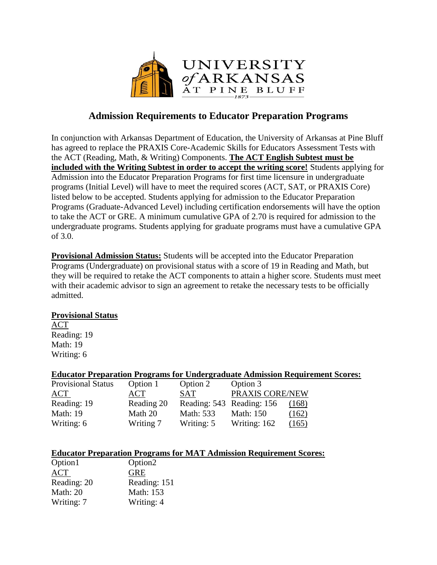

## **Admission Requirements to Educator Preparation Programs**

In conjunction with Arkansas Department of Education, the University of Arkansas at Pine Bluff has agreed to replace the PRAXIS Core-Academic Skills for Educators Assessment Tests with the ACT (Reading, Math, & Writing) Components. **The ACT English Subtest must be included with the Writing Subtest in order to accept the writing score!** Students applying for Admission into the Educator Preparation Programs for first time licensure in undergraduate programs (Initial Level) will have to meet the required scores (ACT, SAT, or PRAXIS Core) listed below to be accepted. Students applying for admission to the Educator Preparation Programs (Graduate-Advanced Level) including certification endorsements will have the option to take the ACT or GRE. A minimum cumulative GPA of 2.70 is required for admission to the undergraduate programs. Students applying for graduate programs must have a cumulative GPA of 3.0.

**Provisional Admission Status:** Students will be accepted into the Educator Preparation Programs (Undergraduate) on provisional status with a score of 19 in Reading and Math, but they will be required to retake the ACT components to attain a higher score. Students must meet with their academic advisor to sign an agreement to retake the necessary tests to be officially admitted.

### **Provisional Status**

ACT Reading: 19 Math: 19 Writing: 6

### **Educator Preparation Programs for Undergraduate Admission Requirement Scores:**

| <b>Provisional Status</b> | Option 1   | Option 2                  | Option 3         |       |
|---------------------------|------------|---------------------------|------------------|-------|
| ACT                       | ACT        | <b>SAT</b>                | PRAXIS CORE/NEW  |       |
| Reading: 19               | Reading 20 | Reading: 543 Reading: 156 |                  | (168) |
| <b>Math: 19</b>           | Math 20    | <b>Math: 533</b>          | <b>Math: 150</b> | (162) |
| Writing: 6                | Writing 7  | Writing: 5                | Writing: 162     | (165) |

#### **Educator Preparation Programs for MAT Admission Requirement Scores:**

| Option <sub>2</sub> |
|---------------------|
| <b>GRE</b>          |
| Reading: 151        |
| Math: 153           |
| Writing: 4          |
|                     |